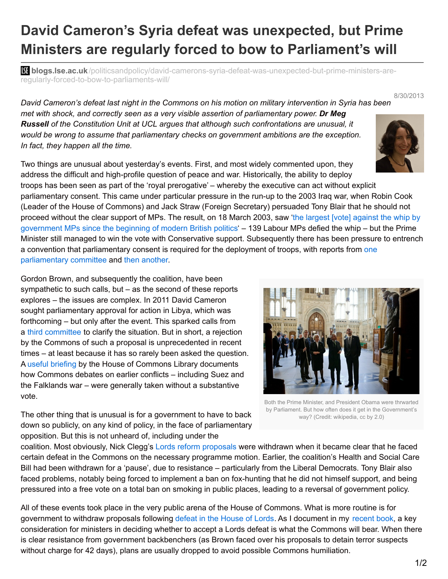## **David Cameron's Syria defeat was unexpected, but Prime Ministers are regularly forced to bow to Parliament's will**

**bli blogs.lse.ac.uk**[/politicsandpolicy/david-camerons-syria-defeat-was-unexpected-but-prime-ministers-are](http://blogs.lse.ac.uk/politicsandpolicy/david-camerons-syria-defeat-was-unexpected-but-prime-ministers-are-regularly-forced-to-bow-to-parliaments-will/)regularly-forced-to-bow-to-parliaments-will/

David Cameron's defeat last night in the Commons on his motion on military intervention in Syria has been *met with shock, and correctly seen as a very visible assertion of parliamentary power. Dr Meg Russell of the Constitution Unit at UCL argues that although such confrontations are unusual, it would be wrong to assume that parliamentary checks on government ambitions are the exception. In fact, they happen all the time.*

Two things are unusual about yesterday's events. First, and most widely commented upon, they address the difficult and high-profile question of peace and war. Historically, the ability to deploy troops has been seen as part of the 'royal prerogative' – whereby the executive can act without explicit parliamentary consent. This came under particular pressure in the run-up to the 2003 Iraq war, when Robin Cook (Leader of the House of Commons) and Jack Straw (Foreign Secretary) persuaded Tony Blair that he should not proceed without the clear support of MPs. The result, on 18 March 2003, saw 'the largest [vote] against the whip by [government](http://www.revolts.co.uk/Sheep No More.pdf) MPs since the beginning of modern British politics' – 139 Labour MPs defied the whip – but the Prime Minister still managed to win the vote with Conservative support. Subsequently there has been pressure to entrench a convention that [parliamentary](http://www.publications.parliament.uk/pa/cm200304/cmselect/cmpubadm/422/422.pdf) consent is required for the deployment of troops, with reports from one parliamentary committee and then [another](http://www.publications.parliament.uk/pa/ld200506/ldselect/ldconst/236/236i.pdf).

Gordon Brown, and subsequently the coalition, have been sympathetic to such calls, but – as the second of these reports explores – the issues are complex. In 2011 David Cameron sought parliamentary approval for action in Libya, which was forthcoming – but only after the event. This sparked calls from a third [committee](http://www.parliament.uk/business/committees/committees-a-z/commons-select/political-and-constitutional-reform-committee/news/parliaments-role-in-conflict-decisions---substantive/) to clarify the situation. But in short, a rejection by the Commons of such a proposal is unprecedented in recent times – at least because it has so rarely been asked the question. A useful [briefing](http://www.parliament.uk/briefing-papers/RP08-88/parliamentary-approval-for-deploying-the-armed-forces-an-introduction-to-the-issues) by the House of Commons Library documents how Commons debates on earlier conflicts – including Suez and the Falklands war – were generally taken without a substantive vote.

The other thing that is unusual is for a government to have to back down so publicly, on any kind of policy, in the face of parliamentary opposition. But this is not unheard of, including under the

coalition. Most obviously, Nick Clegg's Lords reform [proposals](http://www.ucl.ac.uk/spp/spp-news/120712) were withdrawn when it became clear that he faced certain defeat in the Commons on the necessary programme motion. Earlier, the coalition's Health and Social Care Bill had been withdrawn for a 'pause', due to resistance – particularly from the Liberal Democrats. Tony Blair also faced problems, notably being forced to implement a ban on fox-hunting that he did not himself support, and being pressured into a free vote on a total ban on smoking in public places, leading to a reversal of government policy.

All of these events took place in the very public arena of the House of Commons. What is more routine is for government to withdraw proposals following defeat in the [House](http://www.ucl.ac.uk/silva/constitution-unit/research/parliament/house-of-lords/lords-defeats) of Lords. As I document in my [recent](https://www.ucl.ac.uk/constitution-unit/research/parliament/house-of-lords/the-contemporary-house-of-lords/) book, a key consideration for ministers in deciding whether to accept a Lords defeat is what the Commons will bear. When there is clear resistance from government backbenchers (as Brown faced over his proposals to detain terror suspects without charge for 42 days), plans are usually dropped to avoid possible Commons humiliation.

## Both the Prime Minister, and President Obama were thrwarted by Parliament. But how often does it get in the Government's way? (Credit: wikipedia, cc by 2.0)



8/30/2013